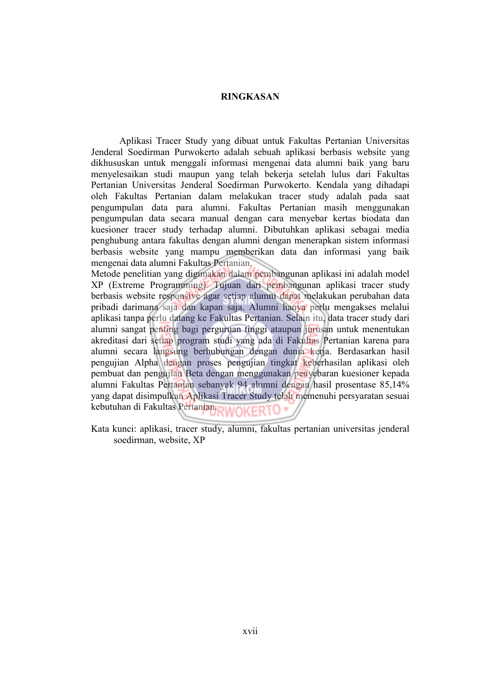## **RINGKASAN**

Aplikasi Tracer Study yang dibuat untuk Fakultas Pertanian Universitas Jenderal Soedirman Purwokerto adalah sebuah aplikasi berbasis website yang dikhususkan untuk menggali informasi mengenai data alumni baik yang baru menyelesaikan studi maupun yang telah bekerja setelah lulus dari Fakultas Pertanian Universitas Jenderal Soedirman Purwokerto. Kendala yang dihadapi oleh Fakultas Pertanian dalam melakukan tracer study adalah pada saat pengumpulan data para alumni. Fakultas Pertanian masih menggunakan pengumpulan data secara manual dengan cara menyebar kertas biodata dan kuesioner tracer study terhadap alumni. Dibutuhkan aplikasi sebagai media penghubung antara fakultas dengan alumni dengan menerapkan sistem informasi berbasis website yang mampu memberikan data dan informasi yang baik mengenai data alumni Fakultas Pertanian.

Metode penelitian yang digunakan dalam pembangunan aplikasi ini adalah model XP (Extreme Programming). Tujuan dari pembangunan aplikasi tracer study berbasis website responsive agar setiap alumni dapat melakukan perubahan data pribadi darimana saja dan kapan saja. Alumni hanya perlu mengakses melalui aplikasi tanpa perlu datang ke Fakultas Pertanian. Selain itu, data tracer study dari alumni sangat penting bagi perguruan tinggi ataupun jurusan untuk menentukan akreditasi dari setiap program studi yang ada di Fakultas Pertanian karena para alumni secara langsung berhubungan dengan dunia kerja. Berdasarkan hasil pengujian Alpha dengan proses pengujian tingkat keberhasilan aplikasi oleh pembuat dan pengujian Beta dengan menggunakan penyebaran kuesioner kepada alumni Fakultas Pertanian sebanyak 94 alumni dengan hasil prosentase 85,14% yang dapat disimpulkan Aplikasi Tracer Study telah memenuhi persyaratan sesuai kebutuhan di Fakultas Pertanian.

Kata kunci: aplikasi, tracer study, alumni, fakultas pertanian universitas jenderal soedirman, website, XP